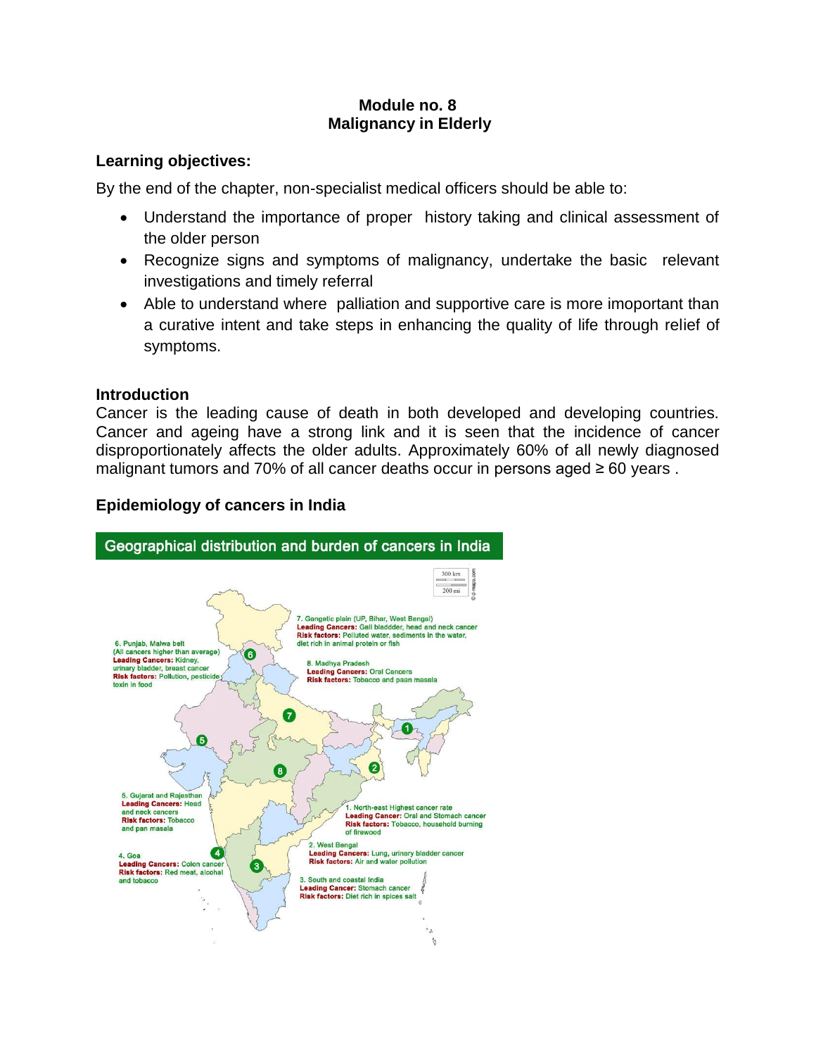# **Module no. 8 Malignancy in Elderly**

## **Learning objectives:**

By the end of the chapter, non-specialist medical officers should be able to:

- Understand the importance of proper history taking and clinical assessment of the older person
- Recognize signs and symptoms of malignancy, undertake the basic relevant investigations and timely referral
- Able to understand where palliation and supportive care is more imoportant than a curative intent and take steps in enhancing the quality of life through relief of symptoms.

### **Introduction**

Cancer is the leading cause of death in both developed and developing countries. Cancer and ageing have a strong link and it is seen that the incidence of cancer disproportionately affects the older adults. Approximately 60% of all newly diagnosed malignant tumors and 70% of all cancer deaths occur in persons aged ≥ 60 years .



## **Epidemiology of cancers in India**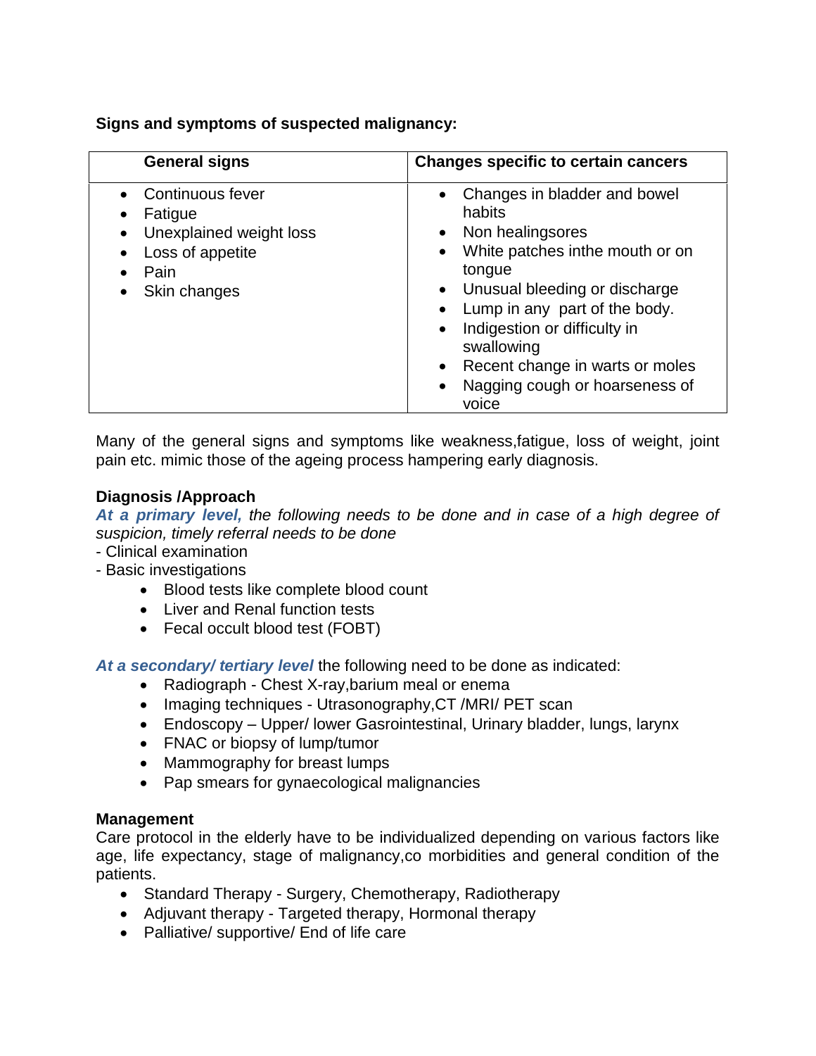**Signs and symptoms of suspected malignancy:**

| <b>General signs</b>                                                                                            | <b>Changes specific to certain cancers</b>                                                                                                                                                                                                                                                                                                                                                         |
|-----------------------------------------------------------------------------------------------------------------|----------------------------------------------------------------------------------------------------------------------------------------------------------------------------------------------------------------------------------------------------------------------------------------------------------------------------------------------------------------------------------------------------|
| Continuous fever<br>Fatigue<br>Unexplained weight loss<br>$\bullet$<br>Loss of appetite<br>Pain<br>Skin changes | • Changes in bladder and bowel<br>habits<br>Non healingsores<br>$\bullet$<br>White patches inthe mouth or on<br>$\bullet$<br>tongue<br>Unusual bleeding or discharge<br>$\bullet$<br>Lump in any part of the body.<br>$\bullet$<br>Indigestion or difficulty in<br>$\bullet$<br>swallowing<br>Recent change in warts or moles<br>$\bullet$<br>Nagging cough or hoarseness of<br>$\bullet$<br>voice |

Many of the general signs and symptoms like weakness,fatigue, loss of weight, joint pain etc. mimic those of the ageing process hampering early diagnosis.

# **Diagnosis /Approach**

*At a primary level, the following needs to be done and in case of a high degree of suspicion, timely referral needs to be done*

- Clinical examination
- Basic investigations
	- Blood tests like complete blood count
	- Liver and Renal function tests
	- Fecal occult blood test (FOBT)

*At a secondary/ tertiary level* the following need to be done as indicated:

- Radiograph Chest X-ray,barium meal or enema
- Imaging techniques Utrasonography, CT /MRI/ PET scan
- Endoscopy Upper/ lower Gasrointestinal, Urinary bladder, lungs, larynx
- FNAC or biopsy of lump/tumor
- Mammography for breast lumps
- Pap smears for gynaecological malignancies

## **Management**

Care protocol in the elderly have to be individualized depending on various factors like age, life expectancy, stage of malignancy,co morbidities and general condition of the patients.

- Standard Therapy Surgery, Chemotherapy, Radiotherapy
- Adjuvant therapy Targeted therapy, Hormonal therapy
- Palliative/ supportive/ End of life care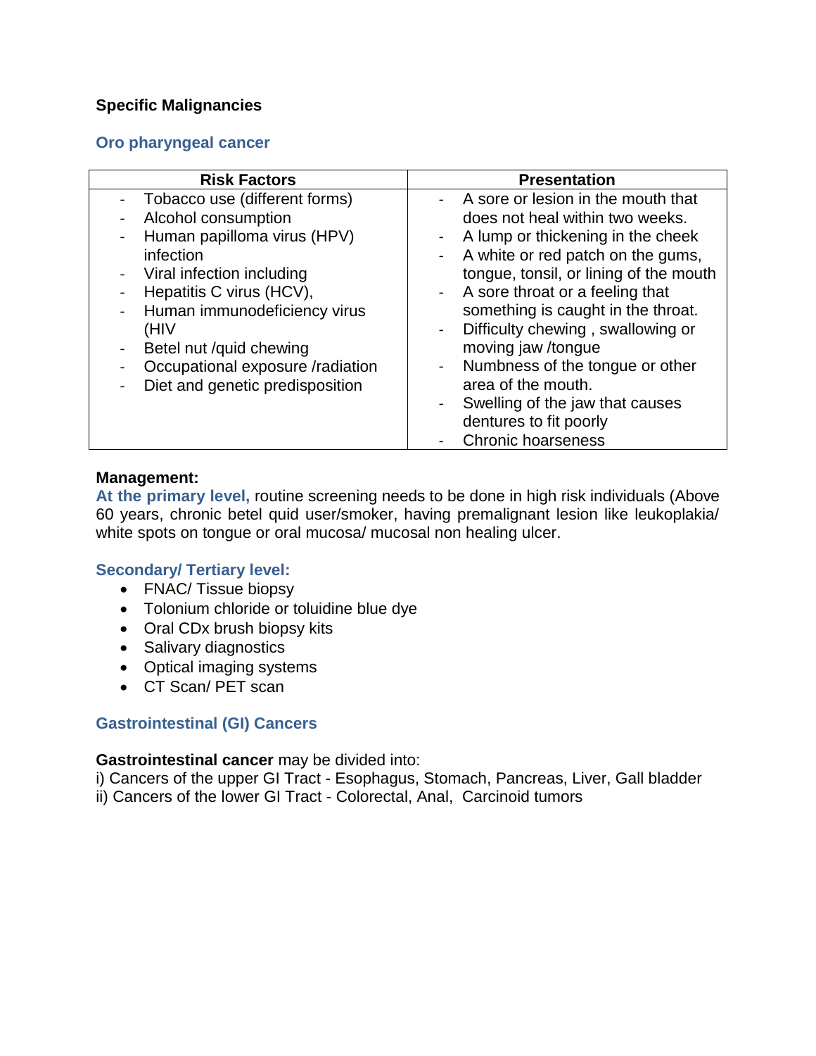# **Specific Malignancies**

# **Oro pharyngeal cancer**

| <b>Risk Factors</b>                                     | <b>Presentation</b>                                 |
|---------------------------------------------------------|-----------------------------------------------------|
| Tobacco use (different forms)                           | A sore or lesion in the mouth that                  |
| Alcohol consumption<br>$\blacksquare$                   | does not heal within two weeks.                     |
| Human papilloma virus (HPV)                             | A lump or thickening in the cheek<br>$\blacksquare$ |
| infection                                               | A white or red patch on the gums,                   |
| Viral infection including<br>$\blacksquare$             | tongue, tonsil, or lining of the mouth              |
| Hepatitis C virus (HCV),                                | - A sore throat or a feeling that                   |
| Human immunodeficiency virus<br>$\blacksquare$          | something is caught in the throat.                  |
| (HIV                                                    | Difficulty chewing, swallowing or<br>$\sim$         |
| Betel nut /quid chewing<br>$\qquad \qquad \blacksquare$ | moving jaw /tongue                                  |
| Occupational exposure /radiation                        | Numbness of the tongue or other<br>$\sim 10^{-10}$  |
| Diet and genetic predisposition                         | area of the mouth.                                  |
|                                                         | Swelling of the jaw that causes<br>$\blacksquare$   |
|                                                         | dentures to fit poorly                              |
|                                                         | <b>Chronic hoarseness</b>                           |

### **Management:**

**At the primary level,** routine screening needs to be done in high risk individuals (Above 60 years, chronic betel quid user/smoker, having premalignant lesion like leukoplakia/ white spots on tongue or oral mucosa/ mucosal non healing ulcer.

## **Secondary/ Tertiary level:**

- FNAC/ Tissue biopsy
- Tolonium chloride or toluidine blue dye
- Oral CDx brush biopsy kits
- Salivary diagnostics
- Optical imaging systems
- CT Scan/ PET scan

## **Gastrointestinal (GI) Cancers**

### **Gastrointestinal cancer** may be divided into:

i) Cancers of the upper GI Tract - Esophagus, Stomach, Pancreas, Liver, Gall bladder ii) Cancers of the lower GI Tract - Colorectal, Anal, Carcinoid tumors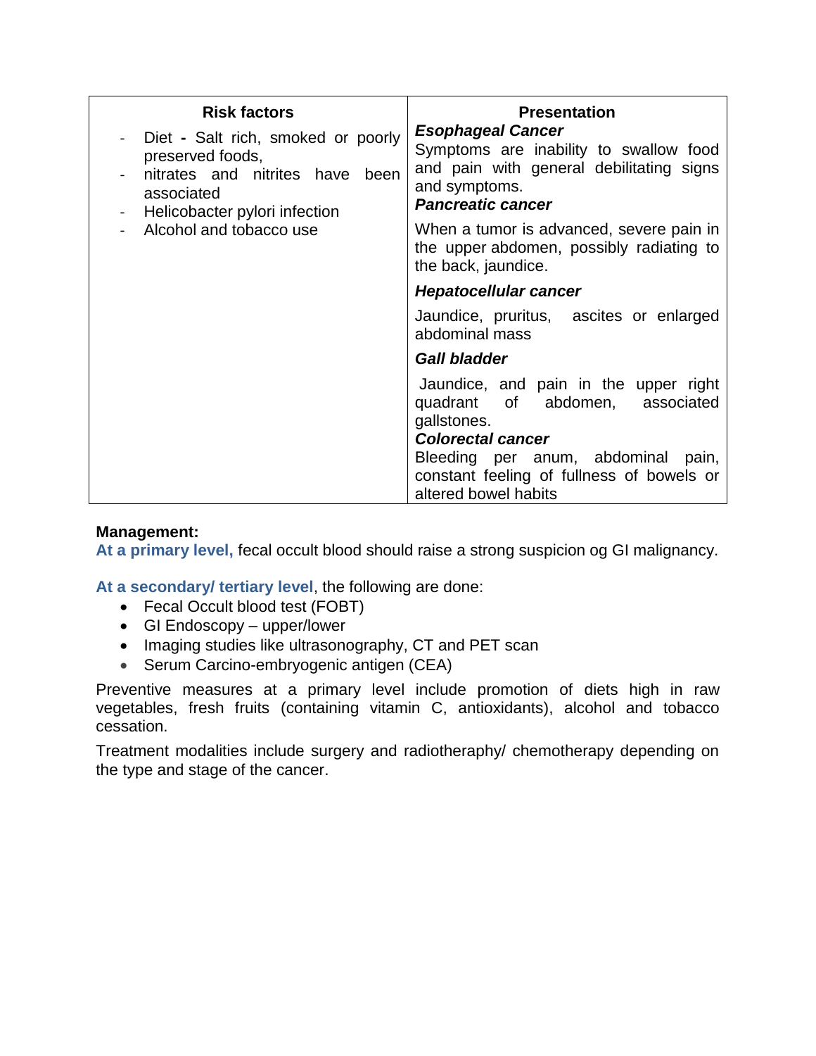| <b>Risk factors</b>                                                                                                                                                 | <b>Presentation</b>                                                                                                                                         |
|---------------------------------------------------------------------------------------------------------------------------------------------------------------------|-------------------------------------------------------------------------------------------------------------------------------------------------------------|
| Diet - Salt rich, smoked or poorly<br>preserved foods,<br>nitrates and nitrites have been<br>associated<br>Helicobacter pylori infection<br>Alcohol and tobacco use | <b>Esophageal Cancer</b><br>Symptoms are inability to swallow food<br>and pain with general debilitating signs<br>and symptoms.<br><b>Pancreatic cancer</b> |
|                                                                                                                                                                     | When a tumor is advanced, severe pain in<br>the upper abdomen, possibly radiating to<br>the back, jaundice.                                                 |
|                                                                                                                                                                     | <b>Hepatocellular cancer</b>                                                                                                                                |
|                                                                                                                                                                     | Jaundice, pruritus, ascites or enlarged<br>abdominal mass                                                                                                   |
|                                                                                                                                                                     | <b>Gall bladder</b>                                                                                                                                         |
|                                                                                                                                                                     | Jaundice, and pain in the upper right<br>quadrant of abdomen, associated<br>gallstones.<br><b>Colorectal cancer</b><br>Bleeding per anum, abdominal pain,   |
|                                                                                                                                                                     | constant feeling of fullness of bowels or<br>altered bowel habits                                                                                           |

# **Management:**

**At a primary level,** fecal occult blood should raise a strong suspicion og GI malignancy.

**At a secondary/ tertiary level**, the following are done:

- Fecal Occult blood test (FOBT)
- GI Endoscopy upper/lower
- Imaging studies like ultrasonography, CT and PET scan
- Serum Carcino-embryogenic antigen (CEA)

Preventive measures at a primary level include promotion of diets high in raw vegetables, fresh fruits (containing vitamin C, antioxidants), alcohol and tobacco cessation.

Treatment modalities include surgery and radiotheraphy/ chemotherapy depending on the type and stage of the cancer.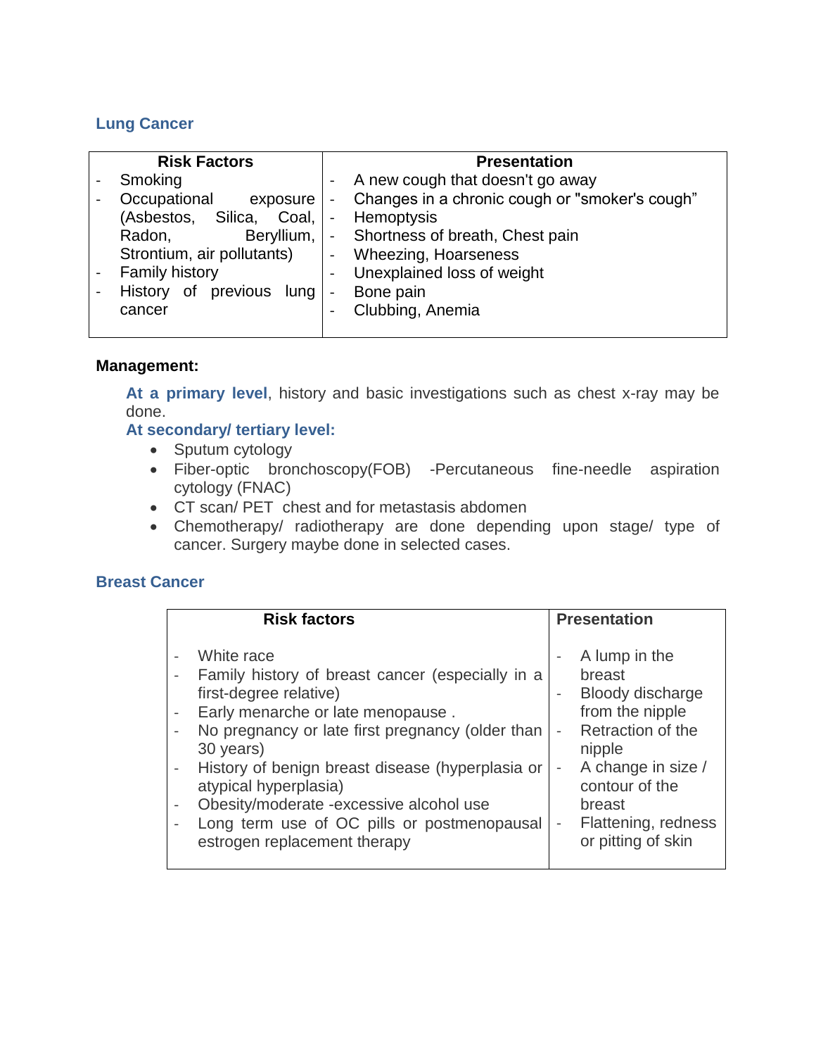# **Lung Cancer**

| <b>Risk Factors</b>            |                          | <b>Presentation</b>                                                            |
|--------------------------------|--------------------------|--------------------------------------------------------------------------------|
| Smoking                        |                          | A new cough that doesn't go away                                               |
| Occupational                   | exposure                 | Changes in a chronic cough or "smoker's cough"<br>$\qquad \qquad \blacksquare$ |
| (Asbestos,                     | Silica, Coal,            | Hemoptysis<br>$\overline{\phantom{a}}$                                         |
| Radon,                         | Beryllium,               | - Shortness of breath, Chest pain                                              |
| Strontium, air pollutants)     |                          | <b>Wheezing, Hoarseness</b><br>$\blacksquare$                                  |
| <b>Family history</b>          |                          | Unexplained loss of weight<br>$\blacksquare$                                   |
| 0f<br>previous lung<br>History | $\overline{\phantom{0}}$ | Bone pain                                                                      |
| cancer                         | $\overline{\phantom{0}}$ | Clubbing, Anemia                                                               |
|                                |                          |                                                                                |

### **Management:**

**At a primary level**, history and basic investigations such as chest x-ray may be done.

### **At secondary/ tertiary level:**

- Sputum cytology
- Fiber-optic bronchoscopy(FOB) -Percutaneous fine-needle aspiration cytology (FNAC)
- CT scan/ PET chest and for metastasis abdomen
- Chemotherapy/ radiotherapy are done depending upon stage/ type of cancer. Surgery maybe done in selected cases.

## **Breast Cancer**

| <b>Risk factors</b>                                                                                                                                                                                                                                                                                                                                                                                   | <b>Presentation</b>                                                                                                                                                                                                                                  |
|-------------------------------------------------------------------------------------------------------------------------------------------------------------------------------------------------------------------------------------------------------------------------------------------------------------------------------------------------------------------------------------------------------|------------------------------------------------------------------------------------------------------------------------------------------------------------------------------------------------------------------------------------------------------|
| White race<br>Family history of breast cancer (especially in a<br>first-degree relative)<br>Early menarche or late menopause.<br>No pregnancy or late first pregnancy (older than<br>30 years)<br>History of benign breast disease (hyperplasia or<br>atypical hyperplasia)<br>Obesity/moderate -excessive alcohol use<br>Long term use of OC pills or postmenopausal<br>estrogen replacement therapy | A lump in the<br>breast<br>Bloody discharge<br>from the nipple<br>Retraction of the<br>nipple<br>A change in size /<br>$\overline{\phantom{a}}$<br>contour of the<br>breast<br>Flattening, redness<br>$\overline{\phantom{a}}$<br>or pitting of skin |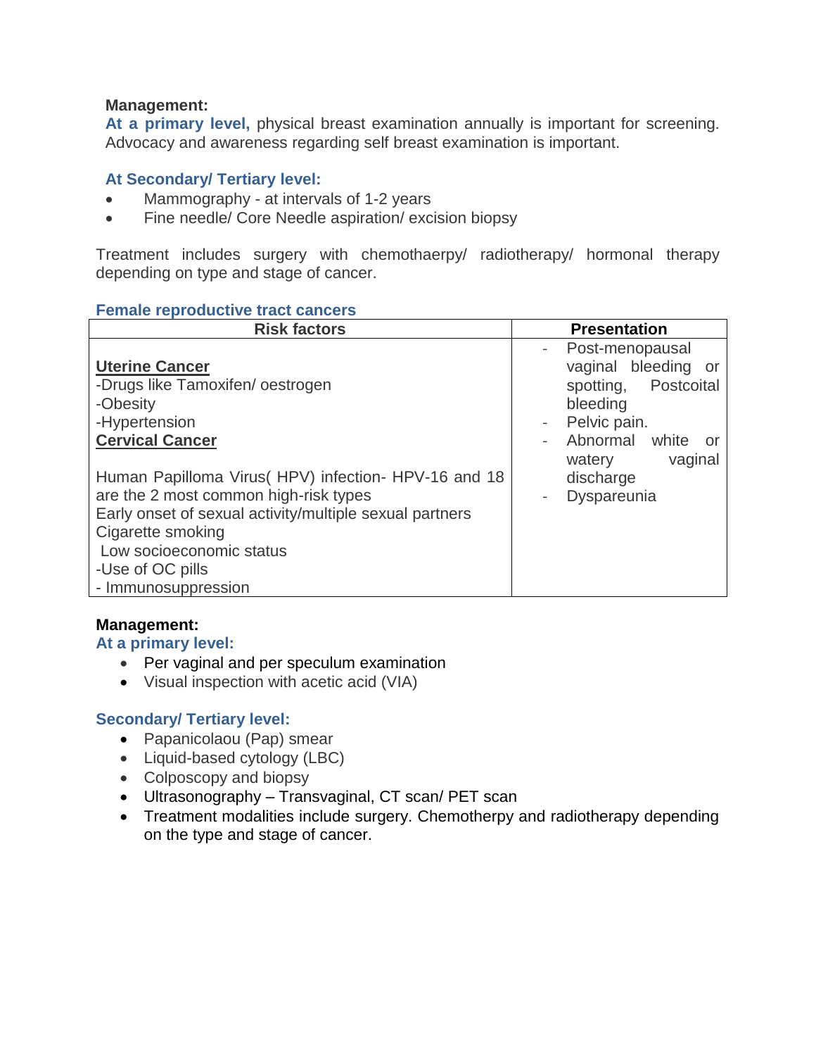## **Management:**

**At a primary level,** physical breast examination annually is important for screening. Advocacy and awareness regarding self breast examination is important.

# **At Secondary/ Tertiary level:**

- Mammography at intervals of 1-2 years
- Fine needle/ Core Needle aspiration/ excision biopsy

Treatment includes surgery with chemothaerpy/ radiotherapy/ hormonal therapy depending on type and stage of cancer.

#### **Female reproductive tract cancers**

| <b>Risk factors</b>                                                                                                                                                                                                                                  | <b>Presentation</b>                                                                                                                                           |
|------------------------------------------------------------------------------------------------------------------------------------------------------------------------------------------------------------------------------------------------------|---------------------------------------------------------------------------------------------------------------------------------------------------------------|
| <b>Uterine Cancer</b><br>-Drugs like Tamoxifen/oestrogen<br>-Obesity<br>-Hypertension<br><b>Cervical Cancer</b>                                                                                                                                      | Post-menopausal<br>$\sim$<br>vaginal bleeding or<br>spotting, Postcoital<br>bleeding<br>Pelvic pain.<br>$\equiv$<br>Abnormal white<br>or<br>vaginal<br>watery |
| Human Papilloma Virus (HPV) infection- HPV-16 and 18<br>are the 2 most common high-risk types<br>Early onset of sexual activity/multiple sexual partners<br>Cigarette smoking<br>Low socioeconomic status<br>-Use of OC pills<br>- Immunosuppression | discharge<br>Dyspareunia                                                                                                                                      |

### **Management:**

### **At a primary level:**

- Per vaginal and per speculum examination
- Visual inspection with acetic acid (VIA)

## **Secondary/ Tertiary level:**

- Papanicolaou (Pap) smear
- Liquid-based cytology (LBC)
- Colposcopy and biopsy
- Ultrasonography Transvaginal, CT scan/ PET scan
- Treatment modalities include surgery. Chemotherpy and radiotherapy depending on the type and stage of cancer.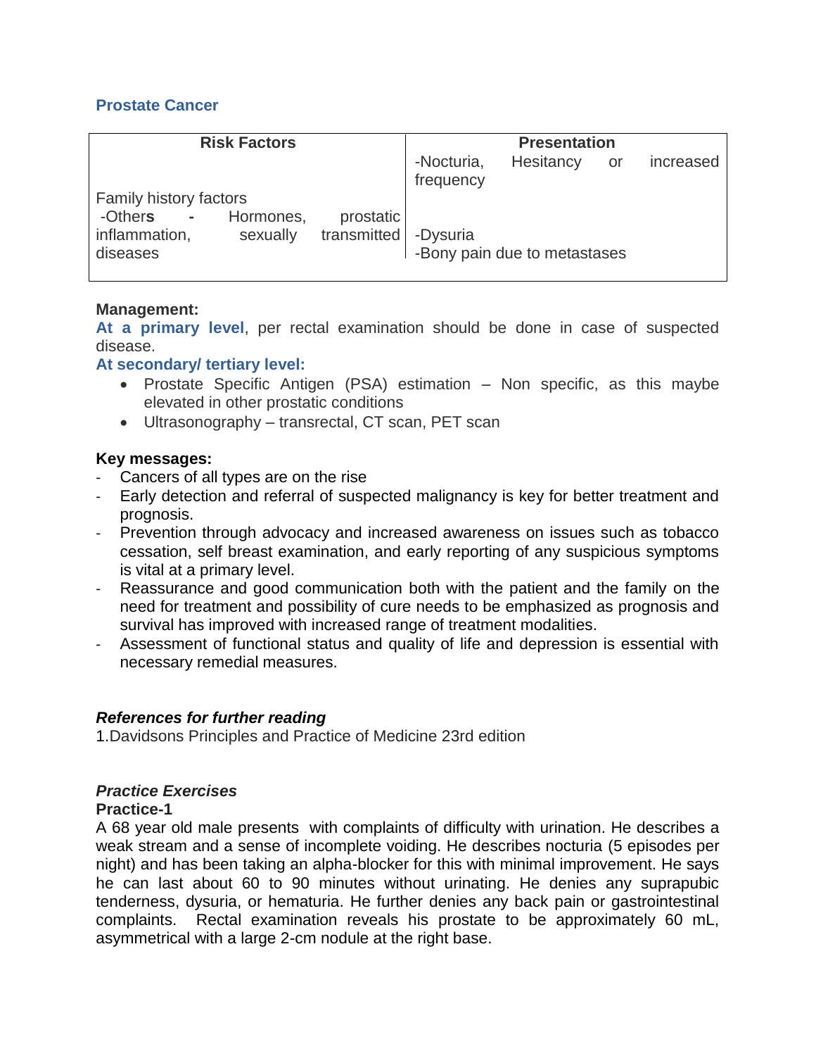# **Prostate Cancer**

| <b>Risk Factors</b>                                           | <b>Presentation</b>                                     |  |
|---------------------------------------------------------------|---------------------------------------------------------|--|
|                                                               | -Nocturia,<br>Hesitancy<br>increased<br>or<br>frequency |  |
| Family history factors                                        |                                                         |  |
| Hormones,<br>prostatic<br>-Others -                           |                                                         |  |
| transmitted -Dysuria<br>inflammation,<br>sexually<br>diseases | -Bony pain due to metastases                            |  |

## **Management:**

**At a primary level**, per rectal examination should be done in case of suspected disease.

### **At secondary/ tertiary level:**

- Prostate Specific Antigen (PSA) estimation Non specific, as this maybe elevated in other prostatic conditions
- Ultrasonography transrectal, CT scan, PET scan

### **Key messages:**

- Cancers of all types are on the rise
- Early detection and referral of suspected malignancy is key for better treatment and prognosis.
- Prevention through advocacy and increased awareness on issues such as tobacco cessation, self breast examination, and early reporting of any suspicious symptoms is vital at a primary level.
- Reassurance and good communication both with the patient and the family on the need for treatment and possibility of cure needs to be emphasized as prognosis and survival has improved with increased range of treatment modalities.
- Assessment of functional status and quality of life and depression is essential with necessary remedial measures.

### *References for further reading*

1.Davidsons Principles and Practice of Medicine 23rd edition

## *Practice Exercises*

### **Practice-1**

A 68 year old male presents with complaints of difficulty with urination. He describes a weak stream and a sense of incomplete voiding. He describes nocturia (5 episodes per night) and has been taking an alpha-blocker for this with minimal improvement. He says he can last about 60 to 90 minutes without urinating. He denies any suprapubic tenderness, dysuria, or hematuria. He further denies any back pain or gastrointestinal complaints. Rectal examination reveals his prostate to be approximately 60 mL, asymmetrical with a large 2-cm nodule at the right base.